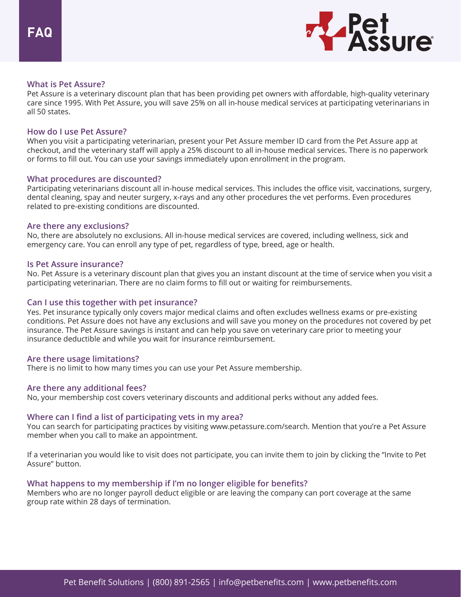

## **What is Pet Assure?**

Pet Assure is a veterinary discount plan that has been providing pet owners with affordable, high-quality veterinary care since 1995. With Pet Assure, you will save 25% on all in-house medical services at participating veterinarians in all 50 states.

## **How do I use Pet Assure?**

When you visit a participating veterinarian, present your Pet Assure member ID card from the Pet Assure app at checkout, and the veterinary staff will apply a 25% discount to all in-house medical services. There is no paperwork or forms to fill out. You can use your savings immediately upon enrollment in the program.

## **What procedures are discounted?**

Participating veterinarians discount all in-house medical services. This includes the office visit, vaccinations, surgery, dental cleaning, spay and neuter surgery, x-rays and any other procedures the vet performs. Even procedures related to pre-existing conditions are discounted.

### **Are there any exclusions?**

No, there are absolutely no exclusions. All in-house medical services are covered, including wellness, sick and emergency care. You can enroll any type of pet, regardless of type, breed, age or health.

### **Is Pet Assure insurance?**

No. Pet Assure is a veterinary discount plan that gives you an instant discount at the time of service when you visit a participating veterinarian. There are no claim forms to fill out or waiting for reimbursements.

# **Can I use this together with pet insurance?**

Yes. Pet insurance typically only covers major medical claims and often excludes wellness exams or pre-existing conditions. Pet Assure does not have any exclusions and will save you money on the procedures not covered by pet insurance. The Pet Assure savings is instant and can help you save on veterinary care prior to meeting your insurance deductible and while you wait for insurance reimbursement.

### **Are there usage limitations?**

There is no limit to how many times you can use your Pet Assure membership.

### **Are there any additional fees?**

No, your membership cost covers veterinary discounts and additional perks without any added fees.

# **Where can I find a list of participating vets in my area?**

You can search for participating practices by visiting www.petassure.com/search. Mention that you're a Pet Assure member when you call to make an appointment.

If a veterinarian you would like to visit does not participate, you can invite them to join by clicking the "Invite to Pet Assure" button.

### **What happens to my membership if I'm no longer eligible for benefits?**

Members who are no longer payroll deduct eligible or are leaving the company can port coverage at the same group rate within 28 days of termination.